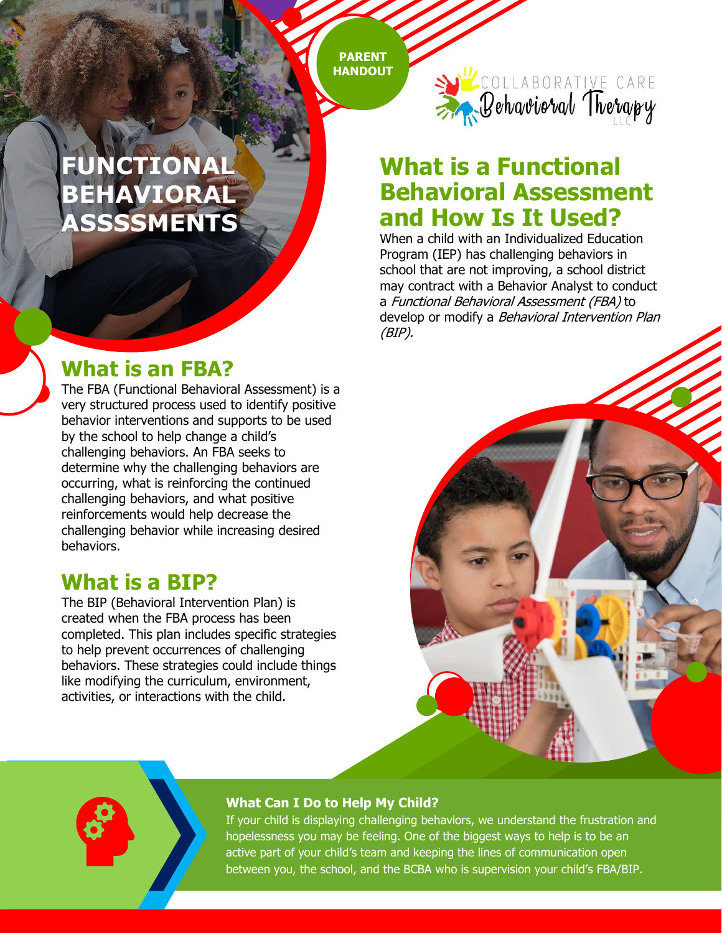**PARENT HANDOUT**

### **PARENT TEACHERS ASSOCIATION FUNCTIONAL BEHAVIORAL ASSSSMENTS**

# **What is an FBA?**

The FBA (Functional Behavioral Assessment) is a very structured process used to identify positive behavior interventions and supports to be used by the school to help change a child's challenging behaviors. An FBA seeks to determine why the challenging behaviors are occurring, what is reinforcing the continued challenging behaviors, and what positive reinforcements would help decrease the challenging behavior while increasing desired behaviors.

### **What is a BIP?**

The BIP (Behavioral Intervention Plan) is created when the FBA process has been completed. This plan includes specific strategies to help prevent occurrences of challenging behaviors. These strategies could include things like modifying the curriculum, environment, activities, or interactions with the child.



# **What is a Functional Behavioral Assessment and How Is It Used?**

When a child with an Individualized Education Program (IEP) has challenging behaviors in school that are not improving, a school district may contract with a Behavior Analyst to conduct a Functional Behavioral Assessment (FBA) to develop or modify a Behavioral Intervention Plan (BIP).



#### **What Can I Do to Help My Child?**

If your child is displaying challenging behaviors, we understand the frustration and hopelessness you may be feeling. One of the biggest ways to help is to be an active part of your child's team and keeping the lines of communication open between you, the school, and the BCBA who is supervision your child's FBA/BIP.